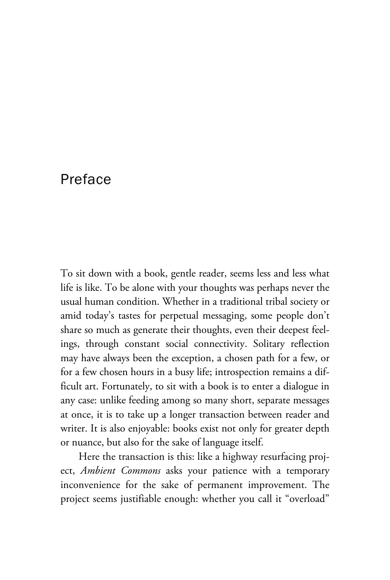## Preface

To sit down with a book, gentle reader, seems less and less what life is like. To be alone with your thoughts was perhaps never the usual human condition. Whether in a traditional tribal society or amid today's tastes for perpetual messaging, some people don't share so much as generate their thoughts, even their deepest feelings, through constant social connectivity. Solitary reflection may have always been the exception, a chosen path for a few, or for a few chosen hours in a busy life; introspection remains a difficult art. Fortunately, to sit with a book is to enter a dialogue in any case: unlike feeding among so many short, separate messages at once, it is to take up a longer transaction between reader and writer. It is also enjoyable: books exist not only for greater depth or nuance, but also for the sake of language itself.

Here the transaction is this: like a highway resurfacing project, *Ambient Commons* asks your patience with a temporary inconvenience for the sake of permanent improvement. The project seems justifiable enough: whether you call it "overload"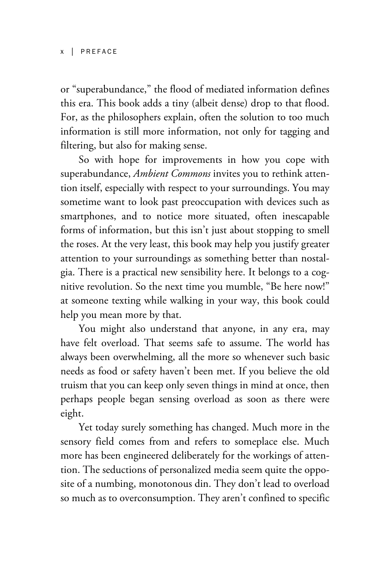or "superabundance," the flood of mediated information defines this era. This book adds a tiny (albeit dense) drop to that flood. For, as the philosophers explain, often the solution to too much information is still more information, not only for tagging and filtering, but also for making sense.

So with hope for improvements in how you cope with superabundance, *Ambient Commons* invites you to rethink attention itself, especially with respect to your surroundings. You may sometime want to look past preoccupation with devices such as smartphones, and to notice more situated, often inescapable forms of information, but this isn't just about stopping to smell the roses. At the very least, this book may help you justify greater attention to your surroundings as something better than nostalgia. There is a practical new sensibility here. It belongs to a cognitive revolution. So the next time you mumble, "Be here now!" at someone texting while walking in your way, this book could help you mean more by that.

You might also understand that anyone, in any era, may have felt overload. That seems safe to assume. The world has always been overwhelming, all the more so whenever such basic needs as food or safety haven't been met. If you believe the old truism that you can keep only seven things in mind at once, then perhaps people began sensing overload as soon as there were eight.

Yet today surely something has changed. Much more in the sensory field comes from and refers to someplace else. Much more has been engineered deliberately for the workings of attention. The seductions of personalized media seem quite the opposite of a numbing, monotonous din. They don't lead to overload so much as to overconsumption. They aren't confined to specific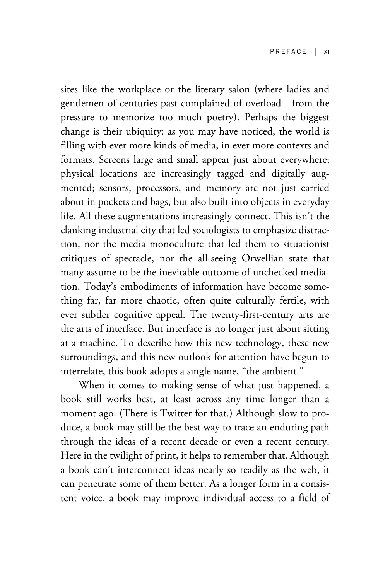sites like the workplace or the literary salon (where ladies and gentlemen of centuries past complained of overload—from the pressure to memorize too much poetry). Perhaps the biggest change is their ubiquity: as you may have noticed, the world is filling with ever more kinds of media, in ever more contexts and formats. Screens large and small appear just about everywhere; physical locations are increasingly tagged and digitally augmented; sensors, processors, and memory are not just carried about in pockets and bags, but also built into objects in everyday life. All these augmentations increasingly connect. This isn't the clanking industrial city that led sociologists to emphasize distraction, nor the media monoculture that led them to situationist critiques of spectacle, nor the all-seeing Orwellian state that many assume to be the inevitable outcome of unchecked mediation. Today's embodiments of information have become something far, far more chaotic, often quite culturally fertile, with ever subtler cognitive appeal. The twenty-first-century arts are the arts of interface. But interface is no longer just about sitting at a machine. To describe how this new technology, these new surroundings, and this new outlook for attention have begun to interrelate, this book adopts a single name, "the ambient."

When it comes to making sense of what just happened, a book still works best, at least across any time longer than a moment ago. (There is Twitter for that.) Although slow to produce, a book may still be the best way to trace an enduring path through the ideas of a recent decade or even a recent century. Here in the twilight of print, it helps to remember that. Although a book can't interconnect ideas nearly so readily as the web, it can penetrate some of them better. As a longer form in a consistent voice, a book may improve individual access to a field of